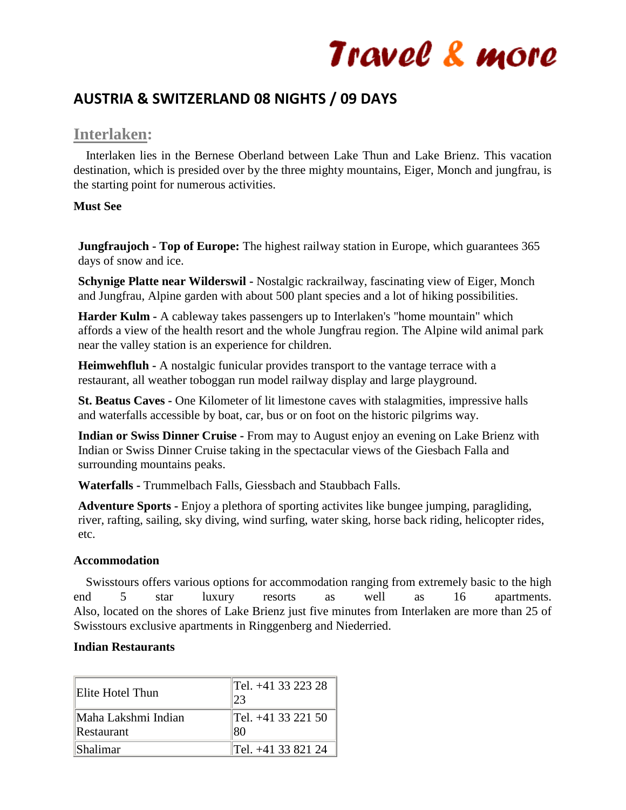## **AUSTRIA & SWITZERLAND 08 NIGHTS / 09 DAYS**

## **Interlaken:**

 Interlaken lies in the Bernese Oberland between Lake Thun and Lake Brienz. This vacation destination, which is presided over by the three mighty mountains, Eiger, Monch and jungfrau, is the starting point for numerous activities.

## **Must See**

**Jungfraujoch - Top of Europe:** The highest railway station in Europe, which guarantees 365 days of snow and ice.

**Schynige Platte near Wilderswil -** Nostalgic rackrailway, fascinating view of Eiger, Monch and Jungfrau, Alpine garden with about 500 plant species and a lot of hiking possibilities.

**Harder Kulm -** A cableway takes passengers up to Interlaken's "home mountain" which affords a view of the health resort and the whole Jungfrau region. The Alpine wild animal park near the valley station is an experience for children.

**Heimwehfluh -** A nostalgic funicular provides transport to the vantage terrace with a restaurant, all weather toboggan run model railway display and large playground.

**St. Beatus Caves -** One Kilometer of lit limestone caves with stalagmities, impressive halls and waterfalls accessible by boat, car, bus or on foot on the historic pilgrims way.

**Indian or Swiss Dinner Cruise -** From may to August enjoy an evening on Lake Brienz with Indian or Swiss Dinner Cruise taking in the spectacular views of the Giesbach Falla and surrounding mountains peaks.

**Waterfalls -** Trummelbach Falls, Giessbach and Staubbach Falls.

**Adventure Sports -** Enjoy a plethora of sporting activites like bungee jumping, paragliding, river, rafting, sailing, sky diving, wind surfing, water sking, horse back riding, helicopter rides, etc.

## **Accommodation**

 Swisstours offers various options for accommodation ranging from extremely basic to the high end 5 star luxury resorts as well as 16 apartments. Also, located on the shores of Lake Brienz just five minutes from Interlaken are more than 25 of Swisstours exclusive apartments in Ringgenberg and Niederried.

## **Indian Restaurants**

| Elite Hotel Thun    | Tel. +41 33 223 28<br>23 |
|---------------------|--------------------------|
| Maha Lakshmi Indian | Tel. +41 33 221 50       |
| Restaurant          | 80                       |
| <b>Shalimar</b>     | Tel. +41 33 821 24       |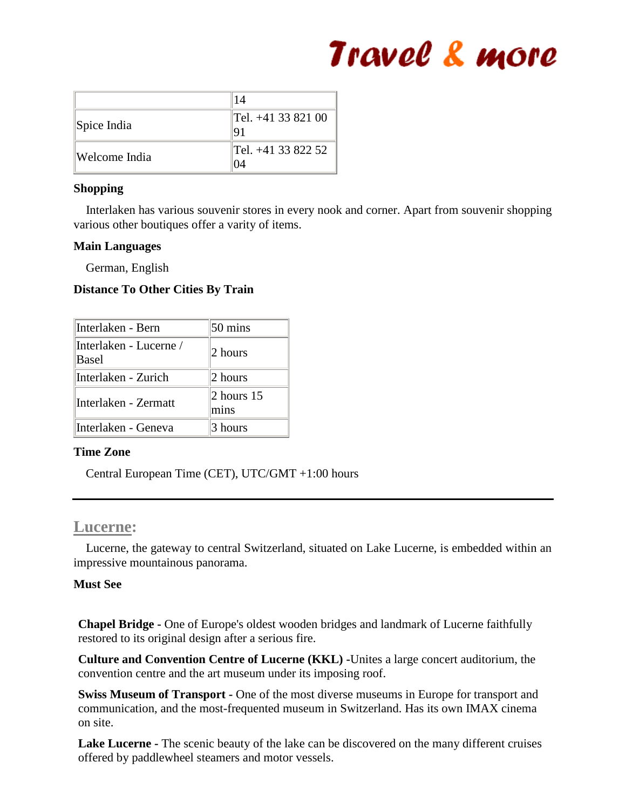|               | 14                               |
|---------------|----------------------------------|
| Spice India   | $\text{Tel.} + 413382100$<br>191 |
| Welcome India | Tel. +41 33 822 52               |

## **Shopping**

 Interlaken has various souvenir stores in every nook and corner. Apart from souvenir shopping various other boutiques offer a varity of items.

## **Main Languages**

German, English

## **Distance To Other Cities By Train**

| Interlaken - Bern               | $50 \text{ mins}$          |
|---------------------------------|----------------------------|
| Interlaken - Lucerne /<br>Basel | 2 hours                    |
| Interlaken - Zurich             | 2 hours                    |
| Interlaken - Zermatt            | $\vert$ 2 hours 15<br>mins |
| Interlaken - Geneva             | 3 hours                    |

## **Time Zone**

Central European Time (CET), UTC/GMT +1:00 hours

## **Lucerne:**

 Lucerne, the gateway to central Switzerland, situated on Lake Lucerne, is embedded within an impressive mountainous panorama.

## **Must See**

**Chapel Bridge -** One of Europe's oldest wooden bridges and landmark of Lucerne faithfully restored to its original design after a serious fire.

**Culture and Convention Centre of Lucerne (KKL) -**Unites a large concert auditorium, the convention centre and the art museum under its imposing roof.

**Swiss Museum of Transport -** One of the most diverse museums in Europe for transport and communication, and the most-frequented museum in Switzerland. Has its own IMAX cinema on site.

**Lake Lucerne -** The scenic beauty of the lake can be discovered on the many different cruises offered by paddlewheel steamers and motor vessels.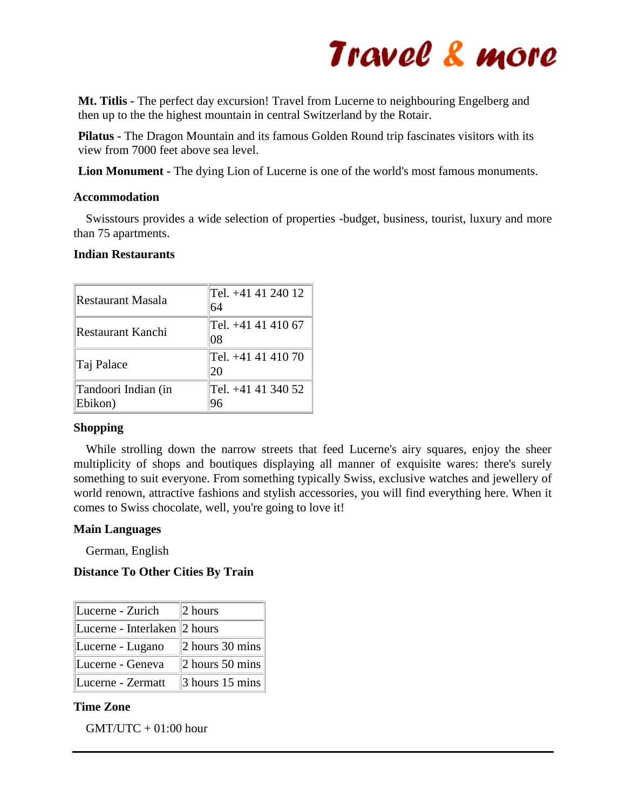

**Mt. Titlis -** The perfect day excursion! Travel from Lucerne to neighbouring Engelberg and then up to the the highest mountain in central Switzerland by the Rotair.

**Pilatus -** The Dragon Mountain and its famous Golden Round trip fascinates visitors with its view from 7000 feet above sea level.

**Lion Monument -** The dying Lion of Lucerne is one of the world's most famous monuments.

### **Accommodation**

 Swisstours provides a wide selection of properties -budget, business, tourist, luxury and more than 75 apartments.

### **Indian Restaurants**

| Restaurant Masala              | Tel. +41 41 240 12<br>64  |
|--------------------------------|---------------------------|
| Restaurant Kanchi              | Tel. +41 41 410 67<br>108 |
| Taj Palace                     | Tel. +41 41 410 70<br>20  |
| Tandoori Indian (in<br>Ebikon) | Tel. +41 41 340 52        |

## **Shopping**

 While strolling down the narrow streets that feed Lucerne's airy squares, enjoy the sheer multiplicity of shops and boutiques displaying all manner of exquisite wares: there's surely something to suit everyone. From something typically Swiss, exclusive watches and jewellery of world renown, attractive fashions and stylish accessories, you will find everything here. When it comes to Swiss chocolate, well, you're going to love it!

## **Main Languages**

German, English

## **Distance To Other Cities By Train**

| Lucerne - Zurich             | $ 2$ hours              |
|------------------------------|-------------------------|
| Lucerne - Interlaken 2 hours |                         |
| Lucerne - Lugano             | 2 hours 30 mins         |
| Lucerne - Geneva             | $\vert$ 2 hours 50 mins |
| Lucerne - Zermatt            | $\beta$ hours 15 mins   |

#### **Time Zone**

 $GMT/UTC + 01:00$  hour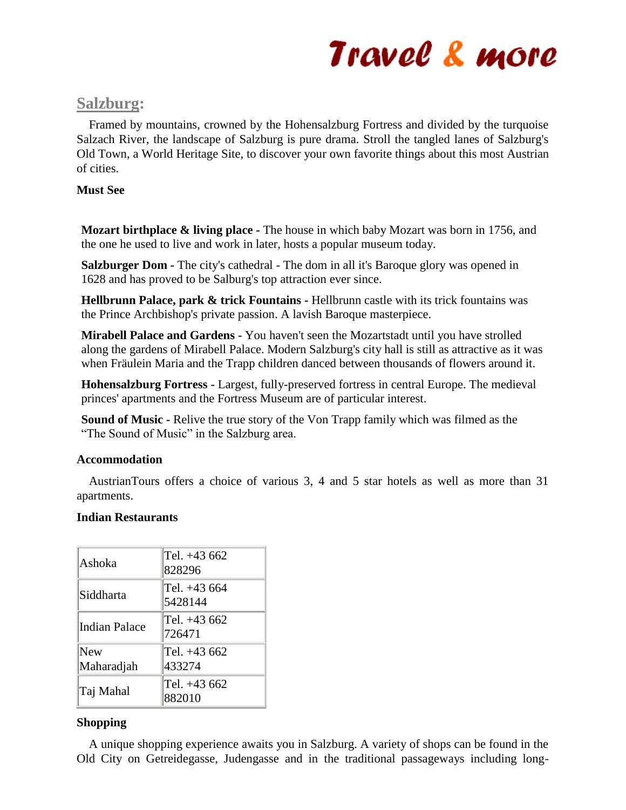## **Salzburg:**

 Framed by mountains, crowned by the Hohensalzburg Fortress and divided by the turquoise Salzach River, the landscape of Salzburg is pure drama. Stroll the tangled lanes of Salzburg's Old Town, a World Heritage Site, to discover your own favorite things about this most Austrian of cities.

## **Must See**

**Mozart birthplace & living place -** The house in which baby Mozart was born in 1756, and the one he used to live and work in later, hosts a popular museum today.

**Salzburger Dom -** The city's cathedral - The dom in all it's Baroque glory was opened in 1628 and has proved to be Salburg's top attraction ever since.

**Hellbrunn Palace, park & trick Fountains -** Hellbrunn castle with its trick fountains was the Prince Archbishop's private passion. A lavish Baroque masterpiece.

**Mirabell Palace and Gardens -** You haven't seen the Mozartstadt until you have strolled along the gardens of Mirabell Palace. Modern Salzburg's city hall is still as attractive as it was when Fräulein Maria and the Trapp children danced between thousands of flowers around it.

**Hohensalzburg Fortress -** Largest, fully-preserved fortress in central Europe. The medieval princes' apartments and the Fortress Museum are of particular interest.

**Sound of Music -** Relive the true story of the Von Trapp family which was filmed as the "The Sound of Music" in the Salzburg area.

## **Accommodation**

 AustrianTours offers a choice of various 3, 4 and 5 star hotels as well as more than 31 apartments.

## **Indian Restaurants**

| Ashoka            | Tel. +43 662<br>828296  |
|-------------------|-------------------------|
| Siddharta         | Tel. +43 664<br>5428144 |
| Indian Palace     | Tel. +43 662<br>726471  |
| New<br>Maharadjah | Tel. +43 662<br>433274  |
| Taj Mahal         | Tel. +43 662<br>882010  |

## **Shopping**

 A unique shopping experience awaits you in Salzburg. A variety of shops can be found in the Old City on Getreidegasse, Judengasse and in the traditional passageways including long-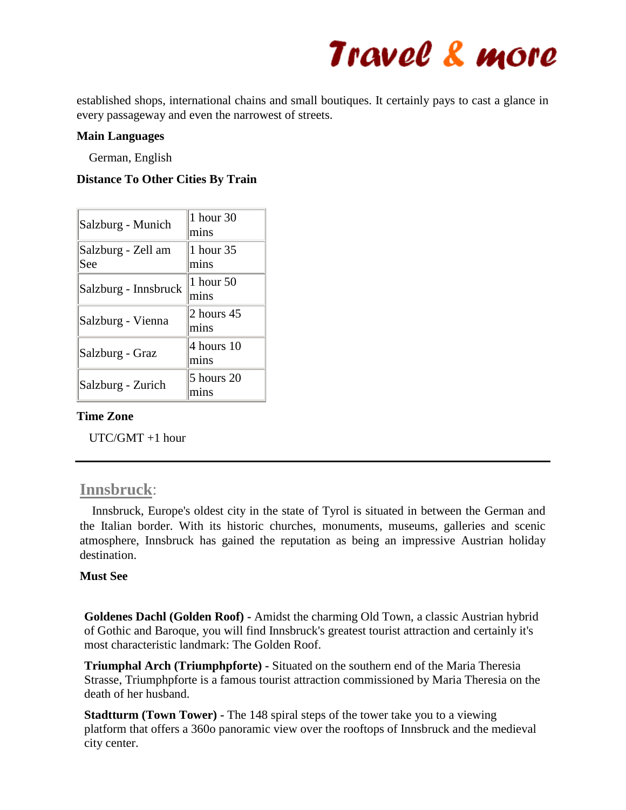

established shops, international chains and small boutiques. It certainly pays to cast a glance in every passageway and even the narrowest of streets.

### **Main Languages**

German, English

### **Distance To Other Cities By Train**

| Salzburg - Munich         | 1 hour 30<br>mins  |
|---------------------------|--------------------|
| Salzburg - Zell am<br>See | 1 hour 35<br>mins  |
| Salzburg - Innsbruck      | 1 hour 50<br>mins  |
| Salzburg - Vienna         | 2 hours 45<br>mins |
| Salzburg - Graz           | 4 hours 10<br>mins |
| Salzburg - Zurich         | 5 hours 20         |

### **Time Zone**

UTC/GMT +1 hour

## **Innsbruck**:

 Innsbruck, Europe's oldest city in the state of Tyrol is situated in between the German and the Italian border. With its historic churches, monuments, museums, galleries and scenic atmosphere, Innsbruck has gained the reputation as being an impressive Austrian holiday destination.

#### **Must See**

**Goldenes Dachl (Golden Roof) -** Amidst the charming Old Town, a classic Austrian hybrid of Gothic and Baroque, you will find Innsbruck's greatest tourist attraction and certainly it's most characteristic landmark: The Golden Roof.

**Triumphal Arch (Triumphpforte) -** Situated on the southern end of the Maria Theresia Strasse, Triumphpforte is a famous tourist attraction commissioned by Maria Theresia on the death of her husband.

**Stadtturm (Town Tower) -** The 148 spiral steps of the tower take you to a viewing platform that offers a 360o panoramic view over the rooftops of Innsbruck and the medieval city center.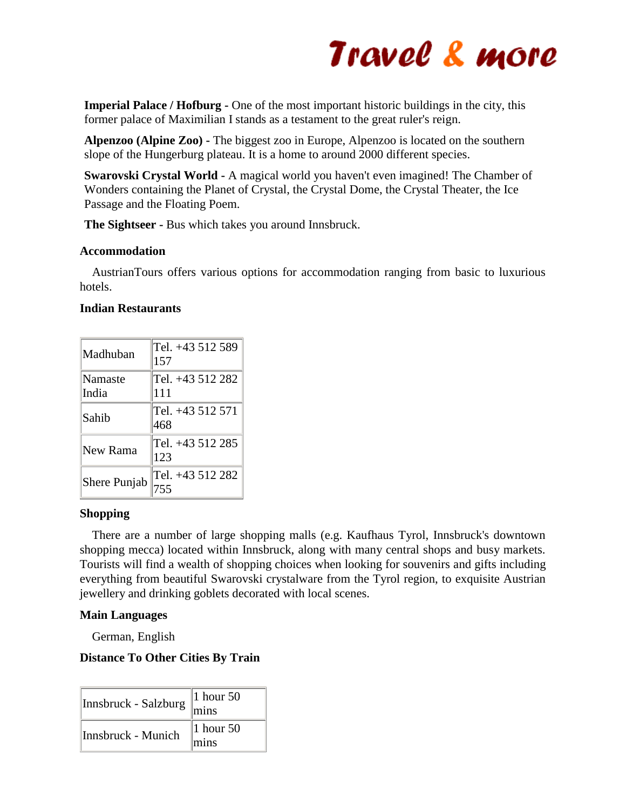**Imperial Palace / Hofburg -** One of the most important historic buildings in the city, this former palace of Maximilian I stands as a testament to the great ruler's reign.

**Alpenzoo (Alpine Zoo) -** The biggest zoo in Europe, Alpenzoo is located on the southern slope of the Hungerburg plateau. It is a home to around 2000 different species.

**Swarovski Crystal World -** A magical world you haven't even imagined! The Chamber of Wonders containing the Planet of Crystal, the Crystal Dome, the Crystal Theater, the Ice Passage and the Floating Poem.

**The Sightseer -** Bus which takes you around Innsbruck.

### **Accommodation**

 AustrianTours offers various options for accommodation ranging from basic to luxurious hotels.

### **Indian Restaurants**

| Madhuban         | Tel. +43 512 589<br>157 |
|------------------|-------------------------|
| Namaste<br>India | Tel. +43 512 282<br>111 |
| Sahib            | Tel. +43 512 571<br>468 |
| New Rama         | Tel. +43 512 285<br>123 |
| Shere Punjab     | Tel. +43 512 282        |

## **Shopping**

 There are a number of large shopping malls (e.g. Kaufhaus Tyrol, Innsbruck's downtown shopping mecca) located within Innsbruck, along with many central shops and busy markets. Tourists will find a wealth of shopping choices when looking for souvenirs and gifts including everything from beautiful Swarovski crystalware from the Tyrol region, to exquisite Austrian jewellery and drinking goblets decorated with local scenes.

## **Main Languages**

German, English

## **Distance To Other Cities By Train**

| Innsbruck - Salzburg | 1 hour $50$<br>mins |
|----------------------|---------------------|
| Innsbruck - Munich   | 1 hour $50$<br>mins |